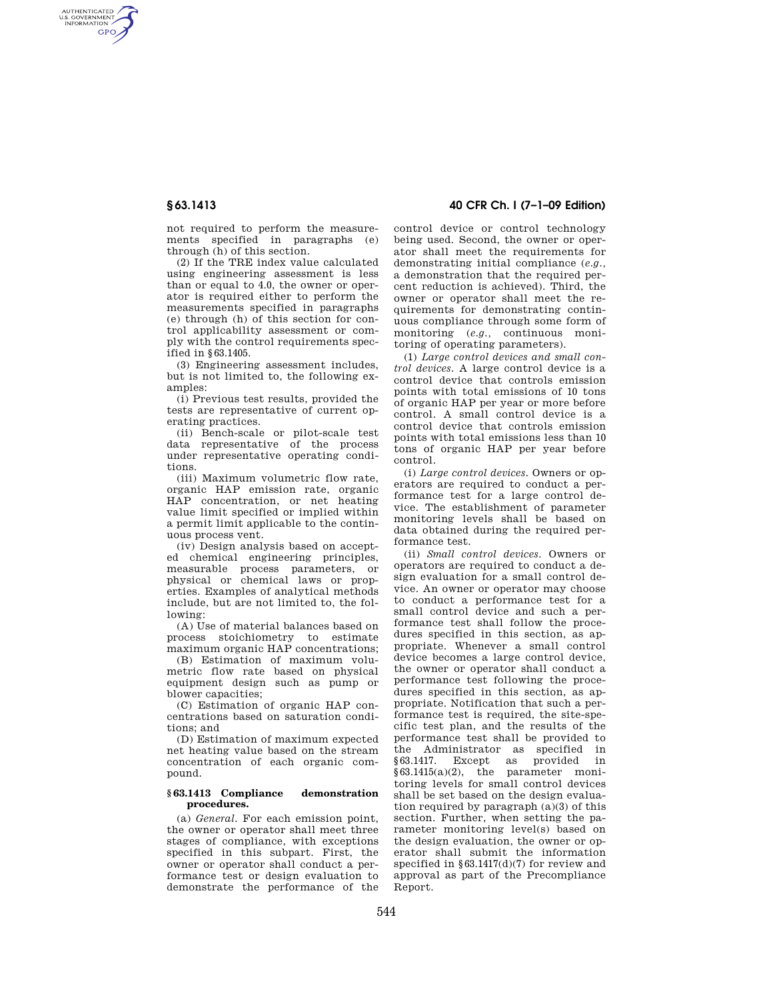AUTHENTICATED<br>U.S. GOVERNMENT<br>INFORMATION **GPO** 

> not required to perform the measurements specified in paragraphs (e) through (h) of this section.

> (2) If the TRE index value calculated using engineering assessment is less than or equal to 4.0, the owner or operator is required either to perform the measurements specified in paragraphs (e) through (h) of this section for control applicability assessment or comply with the control requirements specified in §63.1405.

> (3) Engineering assessment includes, but is not limited to, the following examples:

> (i) Previous test results, provided the tests are representative of current operating practices.

(ii) Bench-scale or pilot-scale test data representative of the process under representative operating conditions.

(iii) Maximum volumetric flow rate, organic HAP emission rate, organic HAP concentration, or net heating value limit specified or implied within a permit limit applicable to the continuous process vent.

(iv) Design analysis based on accepted chemical engineering principles, measurable process parameters, or physical or chemical laws or properties. Examples of analytical methods include, but are not limited to, the following:

(A) Use of material balances based on process stoichiometry to estimate maximum organic HAP concentrations;

(B) Estimation of maximum volumetric flow rate based on physical equipment design such as pump or blower capacities;

(C) Estimation of organic HAP concentrations based on saturation conditions; and

(D) Estimation of maximum expected net heating value based on the stream concentration of each organic compound.

#### **§ 63.1413 Compliance demonstration procedures.**

(a) *General.* For each emission point, the owner or operator shall meet three stages of compliance, with exceptions specified in this subpart. First, the owner or operator shall conduct a performance test or design evaluation to demonstrate the performance of the

# **§ 63.1413 40 CFR Ch. I (7–1–09 Edition)**

control device or control technology being used. Second, the owner or operator shall meet the requirements for demonstrating initial compliance (*e.g.,*  a demonstration that the required percent reduction is achieved). Third, the owner or operator shall meet the requirements for demonstrating continuous compliance through some form of monitoring (*e.g.,* continuous monitoring of operating parameters).

(1) *Large control devices and small control devices.* A large control device is a control device that controls emission points with total emissions of 10 tons of organic HAP per year or more before control. A small control device is a control device that controls emission points with total emissions less than 10 tons of organic HAP per year before control.

(i) *Large control devices.* Owners or operators are required to conduct a performance test for a large control device. The establishment of parameter monitoring levels shall be based on data obtained during the required performance test.

(ii) *Small control devices.* Owners or operators are required to conduct a design evaluation for a small control device. An owner or operator may choose to conduct a performance test for a small control device and such a performance test shall follow the procedures specified in this section, as appropriate. Whenever a small control device becomes a large control device, the owner or operator shall conduct a performance test following the procedures specified in this section, as appropriate. Notification that such a performance test is required, the site-specific test plan, and the results of the performance test shall be provided to the Administrator as specified in §63.1417. Except as provided in §63.1415(a)(2), the parameter monitoring levels for small control devices shall be set based on the design evaluation required by paragraph (a)(3) of this section. Further, when setting the parameter monitoring level(s) based on the design evaluation, the owner or operator shall submit the information specified in §63.1417(d)(7) for review and approval as part of the Precompliance Report.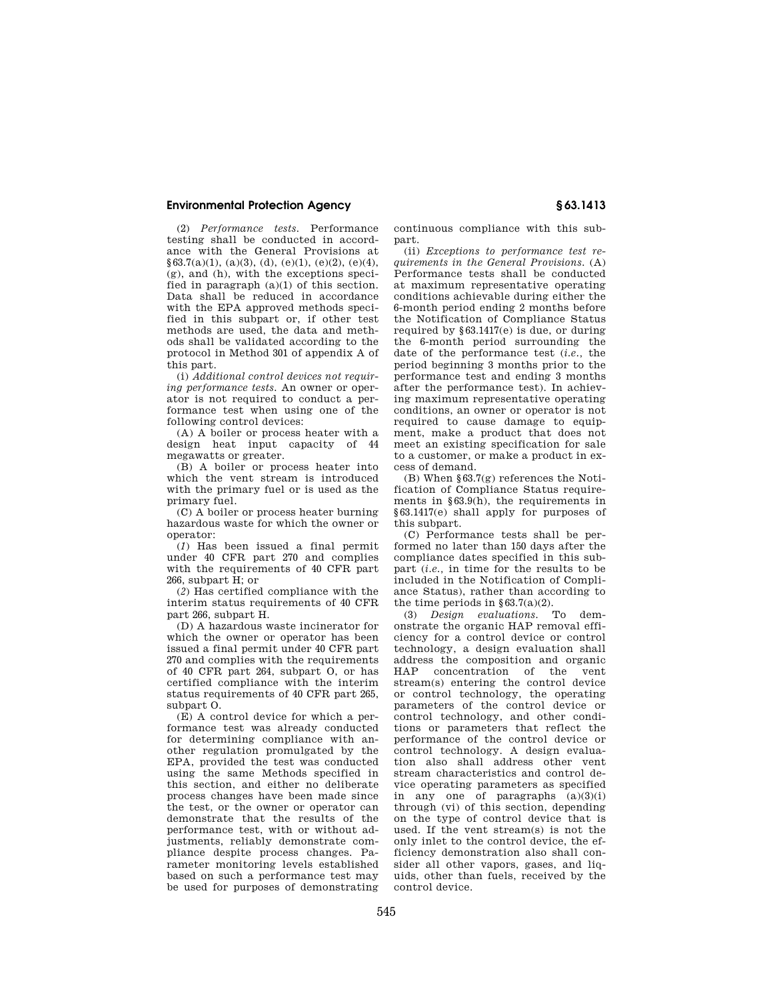(2) *Performance tests.* Performance testing shall be conducted in accordance with the General Provisions at  $§63.7(a)(1), (a)(3), (d), (e)(1), (e)(2), (e)(4),$ (g), and (h), with the exceptions specified in paragraph (a)(1) of this section. Data shall be reduced in accordance with the EPA approved methods specified in this subpart or, if other test methods are used, the data and methods shall be validated according to the protocol in Method 301 of appendix A of this part.

(i) *Additional control devices not requiring performance tests.* An owner or operator is not required to conduct a performance test when using one of the following control devices:

(A) A boiler or process heater with a design heat input capacity of 44 megawatts or greater.

(B) A boiler or process heater into which the vent stream is introduced with the primary fuel or is used as the primary fuel.

(C) A boiler or process heater burning hazardous waste for which the owner or operator:

(*1*) Has been issued a final permit under 40 CFR part 270 and complies with the requirements of 40 CFR part 266, subpart H; or

(*2*) Has certified compliance with the interim status requirements of 40 CFR part 266, subpart H.

(D) A hazardous waste incinerator for which the owner or operator has been issued a final permit under 40 CFR part 270 and complies with the requirements of 40 CFR part 264, subpart O, or has certified compliance with the interim status requirements of 40 CFR part 265, subpart O.

(E) A control device for which a performance test was already conducted for determining compliance with another regulation promulgated by the EPA, provided the test was conducted using the same Methods specified in this section, and either no deliberate process changes have been made since the test, or the owner or operator can demonstrate that the results of the performance test, with or without adjustments, reliably demonstrate compliance despite process changes. Parameter monitoring levels established based on such a performance test may be used for purposes of demonstrating continuous compliance with this subpart.

(ii) *Exceptions to performance test requirements in the General Provisions.* (A) Performance tests shall be conducted at maximum representative operating conditions achievable during either the 6-month period ending 2 months before the Notification of Compliance Status required by §63.1417(e) is due, or during the 6-month period surrounding the date of the performance test (*i.e.,* the period beginning 3 months prior to the performance test and ending 3 months after the performance test). In achieving maximum representative operating conditions, an owner or operator is not required to cause damage to equipment, make a product that does not meet an existing specification for sale to a customer, or make a product in excess of demand.

(B) When §63.7(g) references the Notification of Compliance Status requirements in §63.9(h), the requirements in §63.1417(e) shall apply for purposes of this subpart.

(C) Performance tests shall be performed no later than 150 days after the compliance dates specified in this subpart (*i.e.,* in time for the results to be included in the Notification of Compliance Status), rather than according to the time periods in  $§ 63.7(a)(2)$ .

(3) *Design evaluations.* To demonstrate the organic HAP removal efficiency for a control device or control technology, a design evaluation shall address the composition and organic concentration of the vent stream(s) entering the control device or control technology, the operating parameters of the control device or control technology, and other conditions or parameters that reflect the performance of the control device or control technology. A design evaluation also shall address other vent stream characteristics and control device operating parameters as specified in any one of paragraphs  $(a)(3)(i)$ through (vi) of this section, depending on the type of control device that is used. If the vent stream(s) is not the only inlet to the control device, the efficiency demonstration also shall consider all other vapors, gases, and liquids, other than fuels, received by the control device.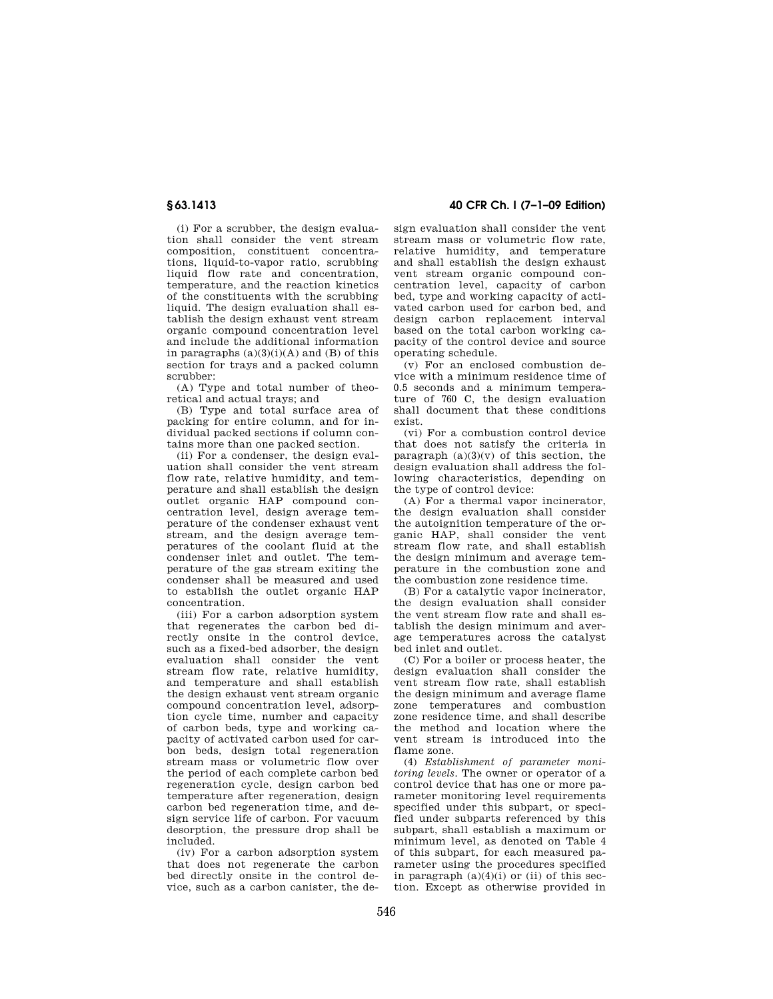(i) For a scrubber, the design evaluation shall consider the vent stream composition, constituent concentrations, liquid-to-vapor ratio, scrubbing liquid flow rate and concentration. temperature, and the reaction kinetics of the constituents with the scrubbing liquid. The design evaluation shall establish the design exhaust vent stream organic compound concentration level and include the additional information in paragraphs  $(a)(3)(i)(A)$  and  $(B)$  of this section for trays and a packed column scrubber:

(A) Type and total number of theoretical and actual trays; and

(B) Type and total surface area of packing for entire column, and for individual packed sections if column contains more than one packed section.

(ii) For a condenser, the design evaluation shall consider the vent stream flow rate, relative humidity, and temperature and shall establish the design outlet organic HAP compound concentration level, design average temperature of the condenser exhaust vent stream, and the design average temperatures of the coolant fluid at the condenser inlet and outlet. The temperature of the gas stream exiting the condenser shall be measured and used to establish the outlet organic HAP concentration.

(iii) For a carbon adsorption system that regenerates the carbon bed directly onsite in the control device, such as a fixed-bed adsorber, the design evaluation shall consider the vent stream flow rate, relative humidity, and temperature and shall establish the design exhaust vent stream organic compound concentration level, adsorption cycle time, number and capacity of carbon beds, type and working capacity of activated carbon used for carbon beds, design total regeneration stream mass or volumetric flow over the period of each complete carbon bed regeneration cycle, design carbon bed temperature after regeneration, design carbon bed regeneration time, and design service life of carbon. For vacuum desorption, the pressure drop shall be included.

(iv) For a carbon adsorption system that does not regenerate the carbon bed directly onsite in the control device, such as a carbon canister, the de-

## **§ 63.1413 40 CFR Ch. I (7–1–09 Edition)**

sign evaluation shall consider the vent stream mass or volumetric flow rate, relative humidity, and temperature and shall establish the design exhaust vent stream organic compound concentration level, capacity of carbon bed, type and working capacity of activated carbon used for carbon bed, and design carbon replacement interval based on the total carbon working capacity of the control device and source operating schedule.

(v) For an enclosed combustion device with a minimum residence time of 0.5 seconds and a minimum temperature of 760 C, the design evaluation shall document that these conditions exist.

(vi) For a combustion control device that does not satisfy the criteria in paragraph  $(a)(3)(v)$  of this section, the design evaluation shall address the following characteristics, depending on the type of control device:

(A) For a thermal vapor incinerator, the design evaluation shall consider the autoignition temperature of the organic HAP, shall consider the vent stream flow rate, and shall establish the design minimum and average temperature in the combustion zone and the combustion zone residence time.

(B) For a catalytic vapor incinerator, the design evaluation shall consider the vent stream flow rate and shall establish the design minimum and average temperatures across the catalyst bed inlet and outlet.

(C) For a boiler or process heater, the design evaluation shall consider the vent stream flow rate, shall establish the design minimum and average flame zone temperatures and combustion zone residence time, and shall describe the method and location where the vent stream is introduced into the flame zone.

(4) *Establishment of parameter monitoring levels.* The owner or operator of a control device that has one or more parameter monitoring level requirements specified under this subpart, or specified under subparts referenced by this subpart, shall establish a maximum or minimum level, as denoted on Table 4 of this subpart, for each measured parameter using the procedures specified in paragraph  $(a)(4)(i)$  or (ii) of this section. Except as otherwise provided in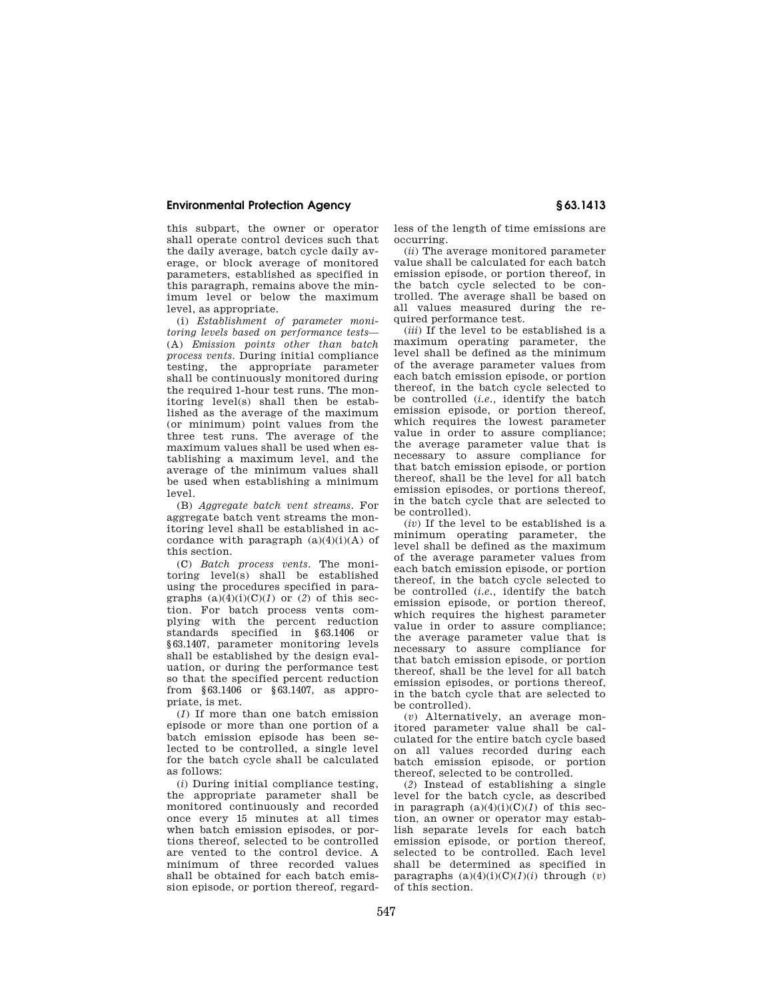this subpart, the owner or operator shall operate control devices such that the daily average, batch cycle daily average, or block average of monitored parameters, established as specified in this paragraph, remains above the minimum level or below the maximum level, as appropriate.

(i) *Establishment of parameter monitoring levels based on performance tests*— (A) *Emission points other than batch process vents.* During initial compliance testing, the appropriate parameter shall be continuously monitored during the required 1-hour test runs. The monitoring level(s) shall then be established as the average of the maximum (or minimum) point values from the three test runs. The average of the maximum values shall be used when establishing a maximum level, and the average of the minimum values shall be used when establishing a minimum level.

(B) *Aggregate batch vent streams.* For aggregate batch vent streams the monitoring level shall be established in accordance with paragraph  $(a)(4)(i)(A)$  of this section.

(C) *Batch process vents.* The monitoring level(s) shall be established using the procedures specified in paragraphs  $(a)(4)(i)(C)(1)$  or  $(2)$  of this section. For batch process vents complying with the percent reduction standards specified in §63.1406 or §63.1407, parameter monitoring levels shall be established by the design evaluation, or during the performance test so that the specified percent reduction from §63.1406 or §63.1407, as appropriate, is met.

(*1*) If more than one batch emission episode or more than one portion of a batch emission episode has been selected to be controlled, a single level for the batch cycle shall be calculated as follows:

(*i*) During initial compliance testing, the appropriate parameter shall be monitored continuously and recorded once every 15 minutes at all times when batch emission episodes, or portions thereof, selected to be controlled are vented to the control device. A minimum of three recorded values shall be obtained for each batch emission episode, or portion thereof, regardless of the length of time emissions are occurring.

(*ii*) The average monitored parameter value shall be calculated for each batch emission episode, or portion thereof, in the batch cycle selected to be controlled. The average shall be based on all values measured during the required performance test.

(*iii*) If the level to be established is a maximum operating parameter, the level shall be defined as the minimum of the average parameter values from each batch emission episode, or portion thereof, in the batch cycle selected to be controlled (*i.e.,* identify the batch emission episode, or portion thereof, which requires the lowest parameter value in order to assure compliance; the average parameter value that is necessary to assure compliance for that batch emission episode, or portion thereof, shall be the level for all batch emission episodes, or portions thereof, in the batch cycle that are selected to be controlled).

(*iv*) If the level to be established is a minimum operating parameter, the level shall be defined as the maximum of the average parameter values from each batch emission episode, or portion thereof, in the batch cycle selected to be controlled (*i.e.,* identify the batch emission episode, or portion thereof, which requires the highest parameter value in order to assure compliance; the average parameter value that is necessary to assure compliance for that batch emission episode, or portion thereof, shall be the level for all batch emission episodes, or portions thereof, in the batch cycle that are selected to be controlled).

(*v*) Alternatively, an average monitored parameter value shall be calculated for the entire batch cycle based on all values recorded during each batch emission episode, or portion thereof, selected to be controlled.

(*2*) Instead of establishing a single level for the batch cycle, as described in paragraph  $(a)(4)(i)(C)(1)$  of this section, an owner or operator may establish separate levels for each batch emission episode, or portion thereof, selected to be controlled. Each level shall be determined as specified in paragraphs  $(a)(4)(i)(C)(1)(i)$  through  $(v)$ of this section.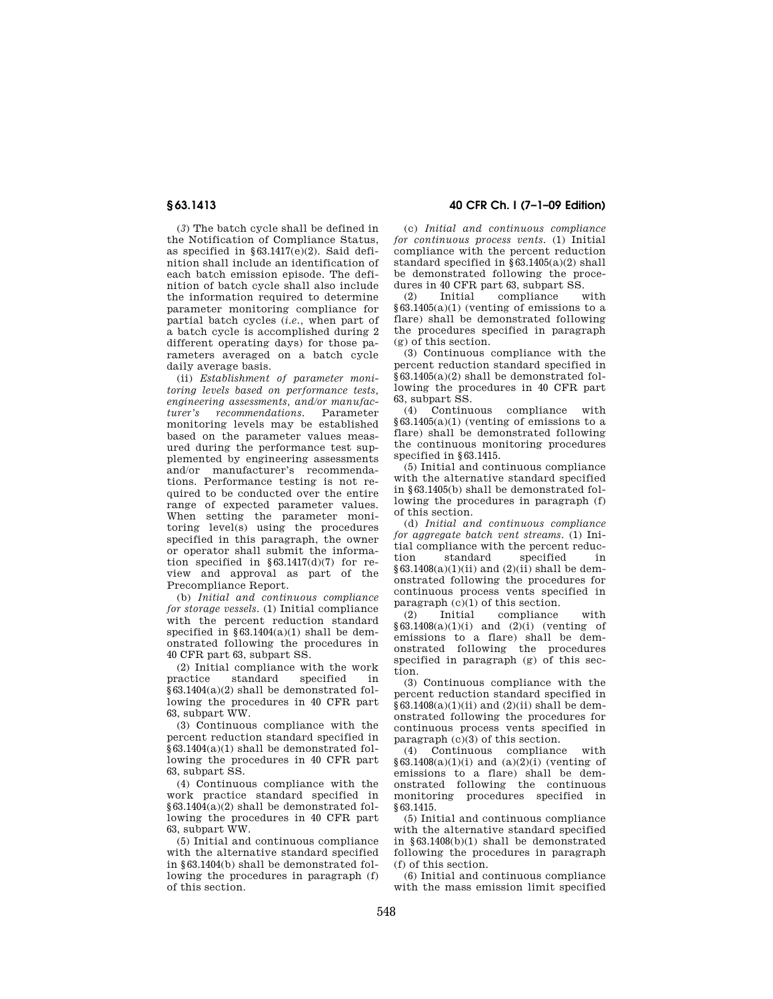(*3*) The batch cycle shall be defined in the Notification of Compliance Status, as specified in  $\S 63.1417(e)(2)$ . Said definition shall include an identification of each batch emission episode. The definition of batch cycle shall also include the information required to determine parameter monitoring compliance for partial batch cycles (*i.e.,* when part of a batch cycle is accomplished during 2 different operating days) for those parameters averaged on a batch cycle daily average basis.

(ii) *Establishment of parameter monitoring levels based on performance tests, engineering assessments, and/or manufacturer's recommendations.* Parameter monitoring levels may be established based on the parameter values measured during the performance test supplemented by engineering assessments and/or manufacturer's recommendations. Performance testing is not required to be conducted over the entire range of expected parameter values. When setting the parameter monitoring level(s) using the procedures specified in this paragraph, the owner or operator shall submit the information specified in §63.1417(d)(7) for review and approval as part of the Precompliance Report.

(b) *Initial and continuous compliance for storage vessels.* (1) Initial compliance with the percent reduction standard specified in §63.1404(a)(1) shall be demonstrated following the procedures in 40 CFR part 63, subpart SS.

(2) Initial compliance with the work<br>practice standard specified in standard specified in §63.1404(a)(2) shall be demonstrated following the procedures in 40 CFR part 63, subpart WW.

(3) Continuous compliance with the percent reduction standard specified in §63.1404(a)(1) shall be demonstrated following the procedures in 40 CFR part 63, subpart SS.

(4) Continuous compliance with the work practice standard specified in  $§63.1404(a)(2)$  shall be demonstrated following the procedures in 40 CFR part 63, subpart WW.

(5) Initial and continuous compliance with the alternative standard specified in §63.1404(b) shall be demonstrated following the procedures in paragraph (f) of this section.

## **§ 63.1413 40 CFR Ch. I (7–1–09 Edition)**

(c) *Initial and continuous compliance for continuous process vents.* (1) Initial compliance with the percent reduction standard specified in  $§63.1405(a)(2)$  shall be demonstrated following the procedures in 40 CFR part 63, subpart SS.<br>(2) Initial compliance with

compliance  $§63.1405(a)(1)$  (venting of emissions to a flare) shall be demonstrated following the procedures specified in paragraph (g) of this section.

(3) Continuous compliance with the percent reduction standard specified in §63.1405(a)(2) shall be demonstrated following the procedures in 40 CFR part 63, subpart SS.

(4) Continuous compliance with  $§63.1405(a)(1)$  (venting of emissions to a flare) shall be demonstrated following the continuous monitoring procedures specified in §63.1415.

(5) Initial and continuous compliance with the alternative standard specified in §63.1405(b) shall be demonstrated following the procedures in paragraph (f) of this section.

(d) *Initial and continuous compliance for aggregate batch vent streams.* (1) Initial compliance with the percent reduction standard specified in  $§63.1408(a)(1)(ii)$  and  $(2)(ii)$  shall be demonstrated following the procedures for continuous process vents specified in paragraph  $(c)(1)$  of this section.

(2) Initial compliance with  $§63.1408(a)(1)(i)$  and  $(2)(i)$  (venting of emissions to a flare) shall be demonstrated following the procedures specified in paragraph  $(g)$  of this section.

(3) Continuous compliance with the percent reduction standard specified in  $§63.1408(a)(1)(ii)$  and  $(2)(ii)$  shall be demonstrated following the procedures for continuous process vents specified in paragraph (c)(3) of this section.

(4) Continuous compliance with  $§63.1408(a)(1)(i)$  and  $(a)(2)(i)$  (venting of emissions to a flare) shall be demonstrated following the continuous monitoring procedures specified in §63.1415.

(5) Initial and continuous compliance with the alternative standard specified in §63.1408(b)(1) shall be demonstrated following the procedures in paragraph (f) of this section.

(6) Initial and continuous compliance with the mass emission limit specified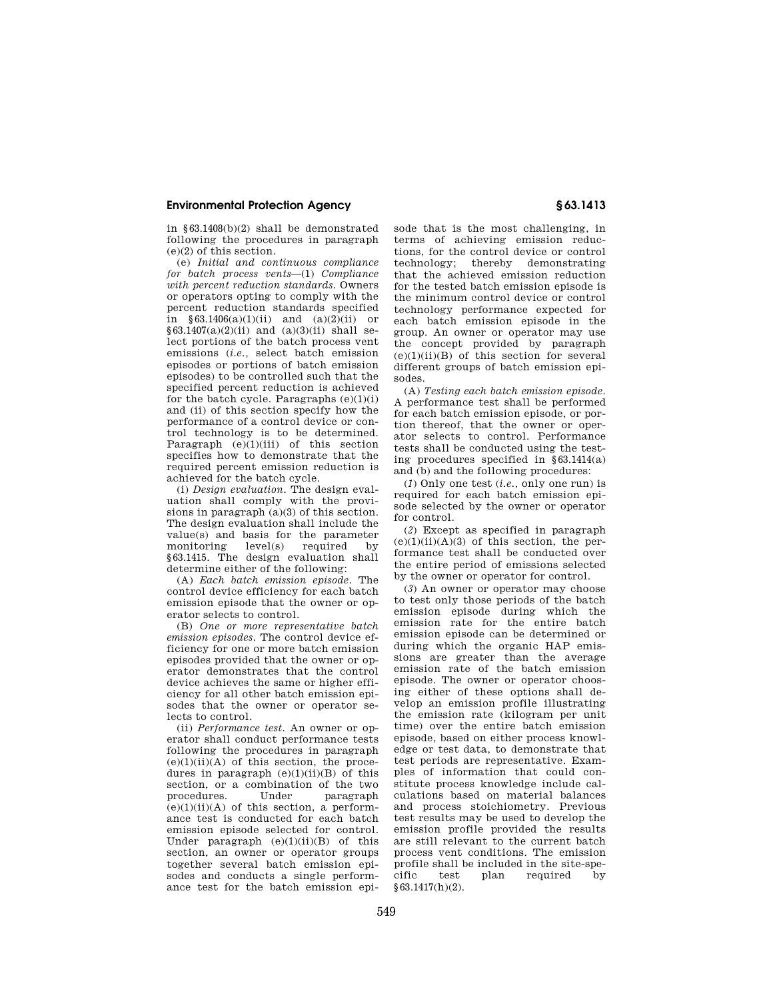in §63.1408(b)(2) shall be demonstrated following the procedures in paragraph (e)(2) of this section.

(e) *Initial and continuous compliance for batch process vents*—(1) *Compliance with percent reduction standards.* Owners or operators opting to comply with the percent reduction standards specified in  $§63.1406(a)(1)(ii)$  and  $(a)(2)(ii)$  or  $$63.1407(a)(2)(ii)$  and  $(a)(3)(ii)$  shall select portions of the batch process vent emissions (*i.e.,* select batch emission episodes or portions of batch emission episodes) to be controlled such that the specified percent reduction is achieved for the batch cycle. Paragraphs  $(e)(1)(i)$ and (ii) of this section specify how the performance of a control device or control technology is to be determined. Paragraph (e)(1)(iii) of this section specifies how to demonstrate that the required percent emission reduction is achieved for the batch cycle.

(i) *Design evaluation.* The design evaluation shall comply with the provisions in paragraph (a)(3) of this section. The design evaluation shall include the value(s) and basis for the parameter<br>monitoring level(s) required by monitoring §63.1415. The design evaluation shall determine either of the following:

(A) *Each batch emission episode.* The control device efficiency for each batch emission episode that the owner or operator selects to control.

(B) *One or more representative batch emission episodes.* The control device efficiency for one or more batch emission episodes provided that the owner or operator demonstrates that the control device achieves the same or higher efficiency for all other batch emission episodes that the owner or operator selects to control.

(ii) *Performance test.* An owner or operator shall conduct performance tests following the procedures in paragraph  $(e)(1)(ii)(A)$  of this section, the procedures in paragraph  $(e)(1)(ii)(B)$  of this section, or a combination of the two<br>procedures. Under paragraph paragraph  $(e)(1)(ii)(A)$  of this section, a performance test is conducted for each batch emission episode selected for control. Under paragraph  $(e)(1)(ii)(B)$  of this section, an owner or operator groups together several batch emission episodes and conducts a single performance test for the batch emission episode that is the most challenging, in terms of achieving emission reductions, for the control device or control technology; thereby demonstrating that the achieved emission reduction for the tested batch emission episode is the minimum control device or control technology performance expected for each batch emission episode in the group. An owner or operator may use the concept provided by paragraph  $(e)(1)(ii)(B)$  of this section for several different groups of batch emission episodes.

(A) *Testing each batch emission episode.*  A performance test shall be performed for each batch emission episode, or portion thereof, that the owner or operator selects to control. Performance tests shall be conducted using the testing procedures specified in §63.1414(a) and (b) and the following procedures:

(*1*) Only one test (*i.e.,* only one run) is required for each batch emission episode selected by the owner or operator for control.

(*2*) Except as specified in paragraph  $(e)(1)(ii)(A)(3)$  of this section, the performance test shall be conducted over the entire period of emissions selected by the owner or operator for control.

(*3*) An owner or operator may choose to test only those periods of the batch emission episode during which the emission rate for the entire batch emission episode can be determined or during which the organic HAP emissions are greater than the average emission rate of the batch emission episode. The owner or operator choosing either of these options shall develop an emission profile illustrating the emission rate (kilogram per unit time) over the entire batch emission episode, based on either process knowledge or test data, to demonstrate that test periods are representative. Examples of information that could constitute process knowledge include calculations based on material balances and process stoichiometry. Previous test results may be used to develop the emission profile provided the results are still relevant to the current batch process vent conditions. The emission profile shall be included in the site-specific test plan required by §63.1417(h)(2).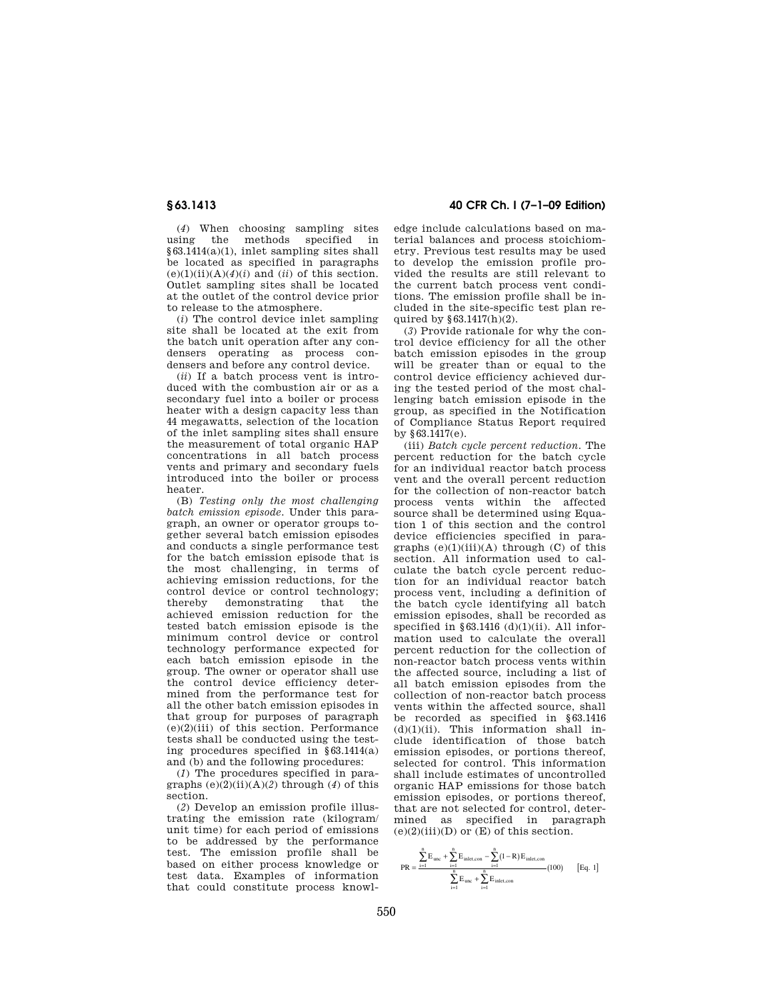(*4*) When choosing sampling sites using the methods specified in §63.1414(a)(1), inlet sampling sites shall be located as specified in paragraphs  $(e)(1)(ii)(A)(4)(i)$  and  $(ii)$  of this section. Outlet sampling sites shall be located at the outlet of the control device prior to release to the atmosphere.

(*i*) The control device inlet sampling site shall be located at the exit from the batch unit operation after any condensers operating as process condensers and before any control device.

(*ii*) If a batch process vent is introduced with the combustion air or as a secondary fuel into a boiler or process heater with a design capacity less than 44 megawatts, selection of the location of the inlet sampling sites shall ensure the measurement of total organic HAP concentrations in all batch process vents and primary and secondary fuels introduced into the boiler or process heater.

(B) *Testing only the most challenging batch emission episode.* Under this paragraph, an owner or operator groups together several batch emission episodes and conducts a single performance test for the batch emission episode that is the most challenging, in terms of achieving emission reductions, for the control device or control technology;<br>thereby demonstrating that the demonstrating achieved emission reduction for the tested batch emission episode is the minimum control device or control technology performance expected for each batch emission episode in the group. The owner or operator shall use the control device efficiency determined from the performance test for all the other batch emission episodes in that group for purposes of paragraph (e)(2)(iii) of this section. Performance tests shall be conducted using the testing procedures specified in §63.1414(a) and (b) and the following procedures:

(*1*) The procedures specified in paragraphs (e)(2)(ii)(A)(*2*) through (*4*) of this section.

(*2*) Develop an emission profile illustrating the emission rate (kilogram/ unit time) for each period of emissions to be addressed by the performance test. The emission profile shall be based on either process knowledge or test data. Examples of information that could constitute process knowl-

**§ 63.1413 40 CFR Ch. I (7–1–09 Edition)** 

edge include calculations based on material balances and process stoichiometry. Previous test results may be used to develop the emission profile provided the results are still relevant to the current batch process vent conditions. The emission profile shall be included in the site-specific test plan required by §63.1417(h)(2).

(*3*) Provide rationale for why the control device efficiency for all the other batch emission episodes in the group will be greater than or equal to the control device efficiency achieved during the tested period of the most challenging batch emission episode in the group, as specified in the Notification of Compliance Status Report required by §63.1417(e).

(iii) *Batch cycle percent reduction.* The percent reduction for the batch cycle for an individual reactor batch process vent and the overall percent reduction for the collection of non-reactor batch process vents within the affected source shall be determined using Equation 1 of this section and the control device efficiencies specified in paragraphs  $(e)(1)(iii)(A)$  through  $(C)$  of this section. All information used to calculate the batch cycle percent reduction for an individual reactor batch process vent, including a definition of the batch cycle identifying all batch emission episodes, shall be recorded as specified in  $§63.1416$  (d)(1)(ii). All information used to calculate the overall percent reduction for the collection of non-reactor batch process vents within the affected source, including a list of all batch emission episodes from the collection of non-reactor batch process vents within the affected source, shall be recorded as specified in §63.1416  $(d)(1)(ii)$ . This information shall include identification of those batch emission episodes, or portions thereof, selected for control. This information shall include estimates of uncontrolled organic HAP emissions for those batch emission episodes, or portions thereof, that are not selected for control, determined as specified in paragraph  $(e)(2)(iii)(D)$  or  $(E)$  of this section.

$$
PR = \frac{\sum\limits_{i=1}^{n} E_{unc} + \sum\limits_{i=1}^{n} E_{\text{inlet,con}} - \sum\limits_{i=1}^{n} (1 - R) E_{\text{inlet,con}}}{\sum\limits_{i=1}^{n} E_{unc} + \sum\limits_{i=1}^{n} E_{\text{inlet,con}}} (100) \qquad \text{[Eq. 1]}
$$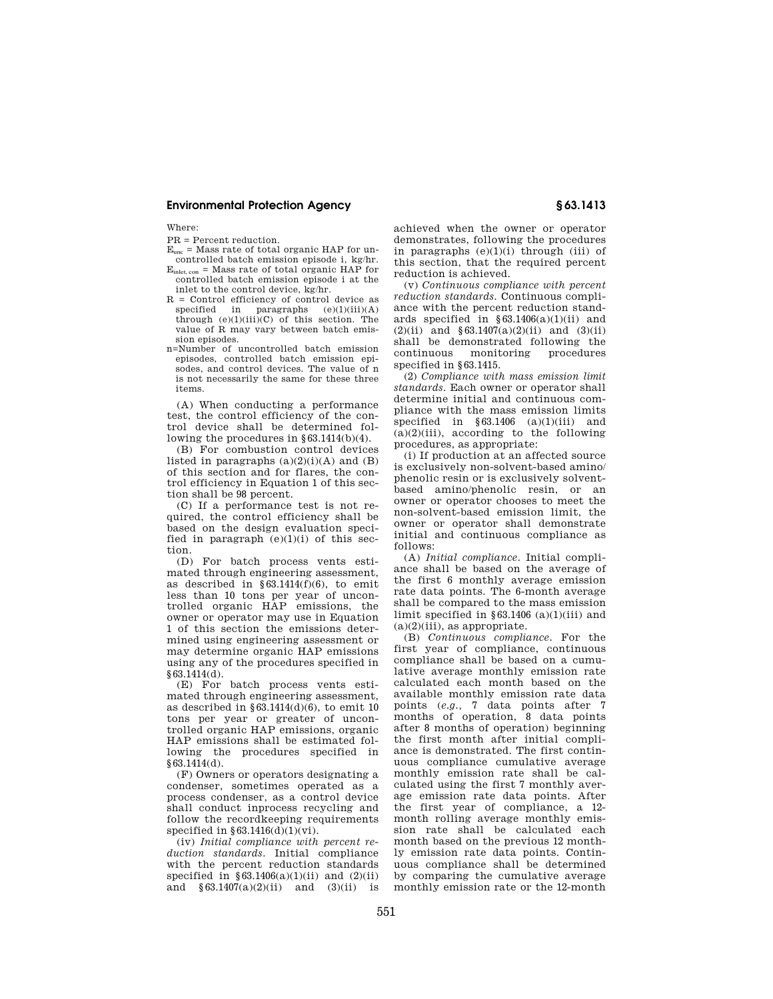Where:

#### PR = Percent reduction.

- Eunc = Mass rate of total organic HAP for uncontrolled batch emission episode i, kg/hr.
- $E_{\text{inlet, con}} =$  Mass rate of total organic HAP for controlled batch emission episode i at the inlet to the control device, kg/hr.
- R = Control efficiency of control device as specified in paragraphs  $(e)(1)(iii)(A)$ through  $(e)(1)(iii)(C)$  of this section. The value of R may vary between batch emission episodes.
- n=Number of uncontrolled batch emission episodes, controlled batch emission episodes, and control devices. The value of n is not necessarily the same for these three items.

(A) When conducting a performance test, the control efficiency of the control device shall be determined following the procedures in §63.1414(b)(4).

(B) For combustion control devices listed in paragraphs  $(a)(2)(i)(A)$  and  $(B)$ of this section and for flares, the control efficiency in Equation 1 of this section shall be 98 percent.

(C) If a performance test is not required, the control efficiency shall be based on the design evaluation specified in paragraph  $(e)(1)(i)$  of this section.

(D) For batch process vents estimated through engineering assessment, as described in  $§63.1414(f)(6)$ , to emit less than 10 tons per year of uncontrolled organic HAP emissions, the owner or operator may use in Equation 1 of this section the emissions determined using engineering assessment or may determine organic HAP emissions using any of the procedures specified in §63.1414(d).

(E) For batch process vents estimated through engineering assessment, as described in  $§63.1414(d)(6)$ , to emit 10 tons per year or greater of uncontrolled organic HAP emissions, organic HAP emissions shall be estimated following the procedures specified in §63.1414(d).

(F) Owners or operators designating a condenser, sometimes operated as a process condenser, as a control device shall conduct inprocess recycling and follow the recordkeeping requirements specified in  $\S 63.1416(d)(1)(vi)$ .

(iv) *Initial compliance with percent reduction standards.* Initial compliance with the percent reduction standards specified in  $§63.1406(a)(1)(ii)$  and  $(2)(ii)$ and  $§63.1407(a)(2)(ii)$  and  $(3)(ii)$  is

achieved when the owner or operator demonstrates, following the procedures in paragraphs  $(e)(1)(i)$  through (iii) of this section, that the required percent reduction is achieved.

(v) *Continuous compliance with percent reduction standards.* Continuous compliance with the percent reduction standards specified in  $§63.1406(a)(1)(ii)$  and  $(2)(ii)$  and  $\frac{63.1407(a)(2)(ii)}{a}$  and  $(3)(ii)$ shall be demonstrated following the<br>continuous monitoring procedures monitoring procedures specified in §63.1415.

(2) *Compliance with mass emission limit standards.* Each owner or operator shall determine initial and continuous compliance with the mass emission limits specified in  $§ 63.1406$  (a)(1)(iii) and  $(a)(2)(iii)$ , according to the following procedures, as appropriate:

(i) If production at an affected source is exclusively non-solvent-based amino/ phenolic resin or is exclusively solventbased amino/phenolic resin, or an owner or operator chooses to meet the non-solvent-based emission limit, the owner or operator shall demonstrate initial and continuous compliance as follows:

(A) *Initial compliance.* Initial compliance shall be based on the average of the first 6 monthly average emission rate data points. The 6-month average shall be compared to the mass emission limit specified in  $§63.1406$  (a)(1)(iii) and  $(a)(2)(iii)$ , as appropriate.

(B) *Continuous compliance.* For the first year of compliance, continuous compliance shall be based on a cumulative average monthly emission rate calculated each month based on the available monthly emission rate data points (*e.g.,* 7 data points after 7 months of operation, 8 data points after 8 months of operation) beginning the first month after initial compliance is demonstrated. The first continuous compliance cumulative average monthly emission rate shall be calculated using the first 7 monthly average emission rate data points. After the first year of compliance, a 12 month rolling average monthly emission rate shall be calculated each month based on the previous 12 monthly emission rate data points. Continuous compliance shall be determined by comparing the cumulative average monthly emission rate or the 12-month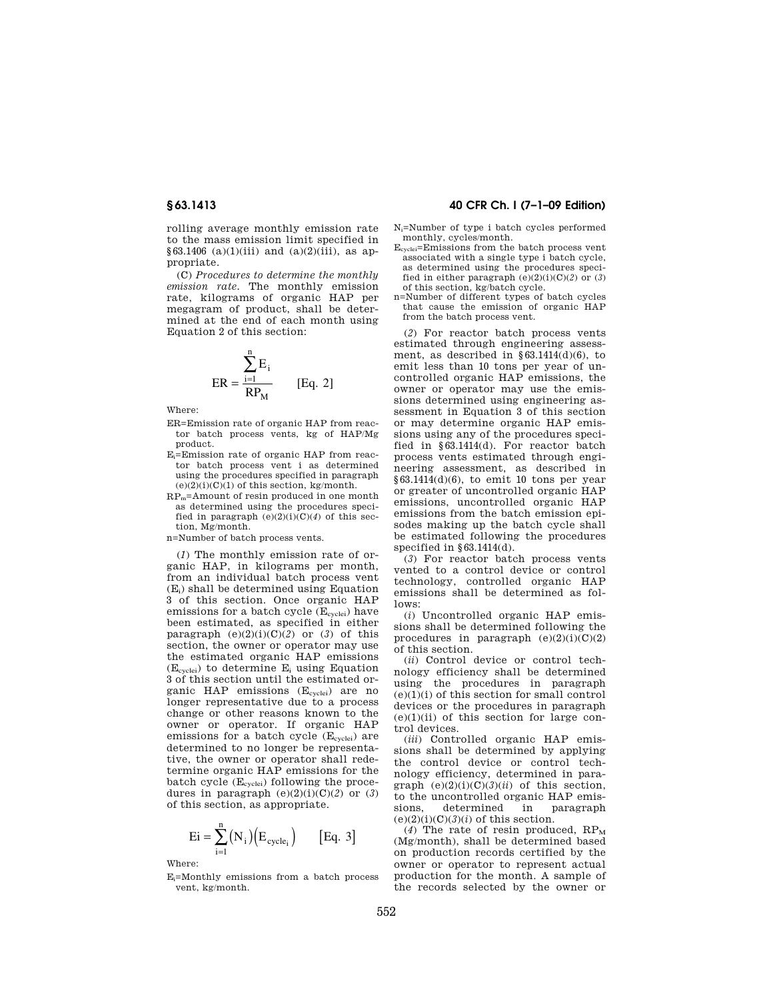rolling average monthly emission rate to the mass emission limit specified in §63.1406 (a)(1)(iii) and (a)(2)(iii), as appropriate.

(C) *Procedures to determine the monthly emission rate.* The monthly emission rate, kilograms of organic HAP per megagram of product, shall be determined at the end of each month using Equation 2 of this section:

$$
ER = \frac{\sum_{i=1}^{n} E_i}{RP_M} \qquad [Eq. 2]
$$

Where:

- ER=Emission rate of organic HAP from reactor batch process vents, kg of HAP/Mg product.
- Ei=Emission rate of organic HAP from reactor batch process vent i as determined using the procedures specified in paragraph  $(e)(2)(i)(C)(1)$  of this section, kg/month.
- RPm=Amount of resin produced in one month as determined using the procedures specified in paragraph  $(e)(2)(i)(C)(4)$  of this section, Mg/month.
- n=Number of batch process vents.

(*1*) The monthly emission rate of organic HAP, in kilograms per month, from an individual batch process vent  $(E<sub>i</sub>)$  shall be determined using Equation 3 of this section. Once organic HAP emissions for a batch cycle  $(E_{cycle})$  have been estimated, as specified in either paragraph  $(e)(2)(i)(C)(2)$  or  $(3)$  of this section, the owner or operator may use the estimated organic HAP emissions  $(E_{\text{cycle}})$  to determine  $E_i$  using Equation 3 of this section until the estimated organic HAP emissions (E<sub>cyclei</sub>) are no longer representative due to a process change or other reasons known to the owner or operator. If organic HAP emissions for a batch cycle (Ecyclei) are determined to no longer be representative, the owner or operator shall redetermine organic HAP emissions for the batch cycle  $(E_{\text{cycle}})$  following the procedures in paragraph  $(e)(2)(i)(C)(2)$  or  $(3)$ of this section, as appropriate.

$$
Ei = \sum_{i=1}^{n} (N_i) (E_{cycle_i})
$$
 [Eq. 3]

Where:

 $E_i$ =Monthly emissions from a batch process vent, kg/month.

## **§ 63.1413 40 CFR Ch. I (7–1–09 Edition)**

- Ni=Number of type i batch cycles performed monthly, cycles/month.
- Ecyclei=Emissions from the batch process vent associated with a single type i batch cycle, as determined using the procedures specified in either paragraph (e)(2)(i)(C)(*2*) or (*3*) of this section, kg/batch cycle.
- n=Number of different types of batch cycles that cause the emission of organic HAP from the batch process vent.

(*2*) For reactor batch process vents estimated through engineering assessment, as described in  $\S 63.1414(d)(6)$ , to emit less than 10 tons per year of uncontrolled organic HAP emissions, the owner or operator may use the emissions determined using engineering assessment in Equation 3 of this section or may determine organic HAP emissions using any of the procedures specified in §63.1414(d). For reactor batch process vents estimated through engineering assessment, as described in  $§63.1414(d)(6)$ , to emit 10 tons per year or greater of uncontrolled organic HAP emissions, uncontrolled organic HAP emissions from the batch emission episodes making up the batch cycle shall be estimated following the procedures specified in §63.1414(d).

(*3*) For reactor batch process vents vented to a control device or control technology, controlled organic HAP emissions shall be determined as follows:

(*i*) Uncontrolled organic HAP emissions shall be determined following the procedures in paragraph  $(e)(2)(i)(C)(2)$ of this section.

(*ii*) Control device or control technology efficiency shall be determined using the procedures in paragraph  $(e)(1)(i)$  of this section for small control devices or the procedures in paragraph  $(e)(1)(ii)$  of this section for large control devices.

(*iii*) Controlled organic HAP emissions shall be determined by applying the control device or control technology efficiency, determined in paragraph  $(e)(2)(i)(C)(3)(ii)$  of this section, to the uncontrolled organic HAP emissions, determined in paragraph  $(e)(2)(i)(C)(3)(i)$  of this section.

(4) The rate of resin produced,  $RP_M$ (Mg/month), shall be determined based on production records certified by the owner or operator to represent actual production for the month. A sample of the records selected by the owner or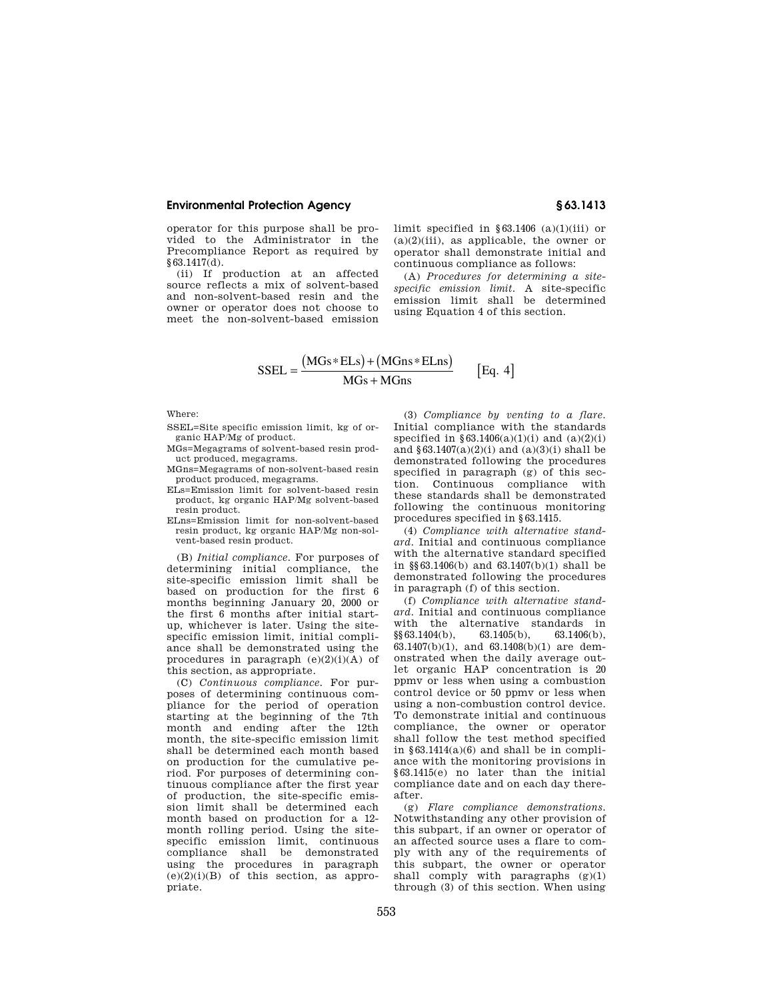operator for this purpose shall be provided to the Administrator in the Precompliance Report as required by  $§63.1417(d).$ 

(ii) If production at an affected source reflects a mix of solvent-based and non-solvent-based resin and the owner or operator does not choose to meet the non-solvent-based emission limit specified in  $§63.1406$  (a)(1)(iii) or  $(a)(2)(iii)$ , as applicable, the owner or operator shall demonstrate initial and continuous compliance as follows:

(A) *Procedures for determining a sitespecific emission limit.* A site-specific emission limit shall be determined using Equation 4 of this section.

$$
SSEL = \frac{(MGs * ELs) + (MGns * ELns)}{MGs + MGns}
$$
 [Eq. 4]

Where:

SSEL=Site specific emission limit, kg of organic HAP/Mg of product.

- MGs=Megagrams of solvent-based resin product produced, megagrams.
- MGns=Megagrams of non-solvent-based resin product produced, megagrams.
- ELs=Emission limit for solvent-based resin product, kg organic HAP/Mg solvent-based resin product.
- ELns=Emission limit for non-solvent-based resin product, kg organic HAP/Mg non-solvent-based resin product.

(B) *Initial compliance.* For purposes of determining initial compliance, the site-specific emission limit shall be based on production for the first 6 months beginning January 20, 2000 or the first 6 months after initial startup, whichever is later. Using the sitespecific emission limit, initial compliance shall be demonstrated using the procedures in paragraph  $(e)(2)(i)(A)$  of this section, as appropriate.

(C) *Continuous compliance.* For purposes of determining continuous compliance for the period of operation starting at the beginning of the 7th month and ending after the 12th month, the site-specific emission limit shall be determined each month based on production for the cumulative period. For purposes of determining continuous compliance after the first year of production, the site-specific emission limit shall be determined each month based on production for a 12 month rolling period. Using the sitespecific emission limit, continuous compliance shall be demonstrated using the procedures in paragraph  $(e)(2)(i)(B)$  of this section, as appropriate.

(3) *Compliance by venting to a flare.*  Initial compliance with the standards specified in  $\S 63.1406(a)(1)(i)$  and  $(a)(2)(i)$ and  $$63.1407(a)(2)(i)$  and  $(a)(3)(i)$  shall be demonstrated following the procedures specified in paragraph (g) of this section. Continuous compliance with these standards shall be demonstrated following the continuous monitoring procedures specified in §63.1415.

(4) *Compliance with alternative standard.* Initial and continuous compliance with the alternative standard specified in §§63.1406(b) and 63.1407(b)(1) shall be demonstrated following the procedures in paragraph (f) of this section.

(f) *Compliance with alternative standard.* Initial and continuous compliance with the alternative standards in §§63.1404(b), 63.1405(b), 63.1406(b), 63.1407(b)(1), and 63.1408(b)(1) are demonstrated when the daily average outlet organic HAP concentration is 20 ppmv or less when using a combustion control device or 50 ppmv or less when using a non-combustion control device. To demonstrate initial and continuous compliance, the owner or operator shall follow the test method specified in  $§63.1414(a)(6)$  and shall be in compliance with the monitoring provisions in §63.1415(e) no later than the initial compliance date and on each day thereafter.

(g) *Flare compliance demonstrations.*  Notwithstanding any other provision of this subpart, if an owner or operator of an affected source uses a flare to comply with any of the requirements of this subpart, the owner or operator shall comply with paragraphs  $(g)(1)$ through  $(3)$  of this section. When using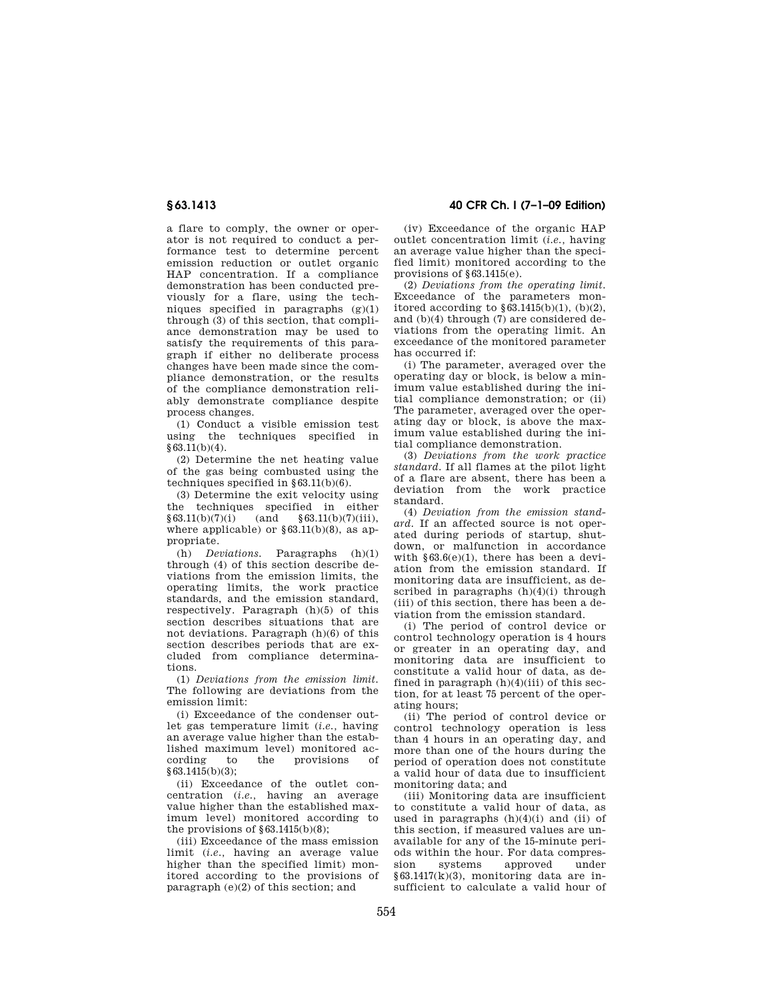a flare to comply, the owner or operator is not required to conduct a performance test to determine percent emission reduction or outlet organic HAP concentration. If a compliance demonstration has been conducted previously for a flare, using the techniques specified in paragraphs  $(g)(1)$ through (3) of this section, that compliance demonstration may be used to satisfy the requirements of this paragraph if either no deliberate process changes have been made since the compliance demonstration, or the results of the compliance demonstration reliably demonstrate compliance despite process changes.

(1) Conduct a visible emission test using the techniques specified in  $$63.11(b)(4)$ .

(2) Determine the net heating value of the gas being combusted using the techniques specified in  $§ 63.11(b)(6)$ .

(3) Determine the exit velocity using the techniques specified in either  $§63.11(b)(7)(i)$  (and §63.11(b)(7)(iii), where applicable) or  $\S 63.11(b)(8)$ , as appropriate.

(h) *Deviations.* Paragraphs (h)(1) through (4) of this section describe deviations from the emission limits, the operating limits, the work practice standards, and the emission standard, respectively. Paragraph (h)(5) of this section describes situations that are not deviations. Paragraph (h)(6) of this section describes periods that are excluded from compliance determinations.

(1) *Deviations from the emission limit.*  The following are deviations from the emission limit:

(i) Exceedance of the condenser outlet gas temperature limit (*i.e.,* having an average value higher than the established maximum level) monitored acto the provisions of §63.1415(b)(3);

(ii) Exceedance of the outlet concentration (*i.e.,* having an average value higher than the established maximum level) monitored according to the provisions of  $\S 63.1415(b)(8)$ ;

(iii) Exceedance of the mass emission limit (*i.e.,* having an average value higher than the specified limit) monitored according to the provisions of paragraph  $(e)(2)$  of this section; and

**§ 63.1413 40 CFR Ch. I (7–1–09 Edition)** 

(iv) Exceedance of the organic HAP outlet concentration limit (*i.e.,* having an average value higher than the specified limit) monitored according to the provisions of §63.1415(e).

(2) *Deviations from the operating limit.*  Exceedance of the parameters monitored according to  $\S 63.1415(b)(1)$ ,  $(b)(2)$ , and (b)(4) through (7) are considered deviations from the operating limit. An exceedance of the monitored parameter has occurred if:

(i) The parameter, averaged over the operating day or block, is below a minimum value established during the initial compliance demonstration; or (ii) The parameter, averaged over the operating day or block, is above the maximum value established during the initial compliance demonstration.

(3) *Deviations from the work practice standard.* If all flames at the pilot light of a flare are absent, there has been a deviation from the work practice standard.

(4) *Deviation from the emission standard.* If an affected source is not operated during periods of startup, shutdown, or malfunction in accordance with  $§63.6(e)(1)$ , there has been a deviation from the emission standard. If monitoring data are insufficient, as described in paragraphs  $(h)(4)(i)$  through (iii) of this section, there has been a deviation from the emission standard.

(i) The period of control device or control technology operation is 4 hours or greater in an operating day, and monitoring data are insufficient to constitute a valid hour of data, as defined in paragraph  $(h)(4)(iii)$  of this section, for at least 75 percent of the operating hours;

(ii) The period of control device or control technology operation is less than 4 hours in an operating day, and more than one of the hours during the period of operation does not constitute a valid hour of data due to insufficient monitoring data; and

(iii) Monitoring data are insufficient to constitute a valid hour of data, as used in paragraphs  $(h)(4)(i)$  and  $(ii)$  of this section, if measured values are unavailable for any of the 15-minute periods within the hour. For data compression systems approved under §63.1417(k)(3), monitoring data are insufficient to calculate a valid hour of